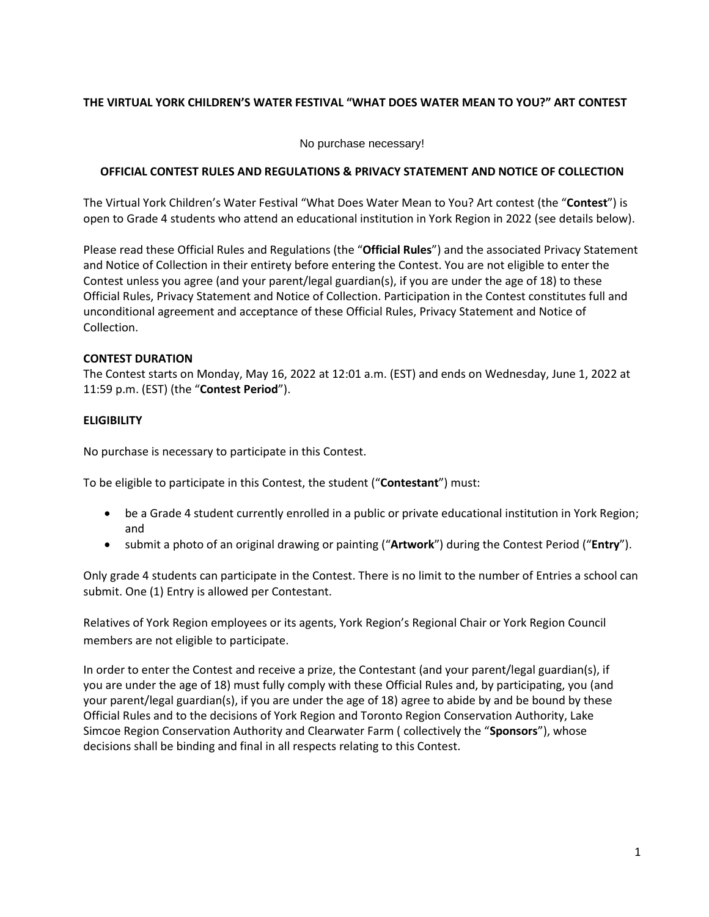## **THE VIRTUAL YORK CHILDREN'S WATER FESTIVAL "WHAT DOES WATER MEAN TO YOU?" ART CONTEST**

No purchase necessary!

### **OFFICIAL CONTEST RULES AND REGULATIONS & PRIVACY STATEMENT AND NOTICE OF COLLECTION**

The Virtual York Children's Water Festival "What Does Water Mean to You? Art contest (the "**Contest**") is open to Grade 4 students who attend an educational institution in York Region in 2022 (see details below).

Please read these Official Rules and Regulations (the "**Official Rules**") and the associated Privacy Statement and Notice of Collection in their entirety before entering the Contest. You are not eligible to enter the Contest unless you agree (and your parent/legal guardian(s), if you are under the age of 18) to these Official Rules, Privacy Statement and Notice of Collection. Participation in the Contest constitutes full and unconditional agreement and acceptance of these Official Rules, Privacy Statement and Notice of Collection.

## **CONTEST DURATION**

The Contest starts on Monday, May 16, 2022 at 12:01 a.m. (EST) and ends on Wednesday, June 1, 2022 at 11:59 p.m. (EST) (the "**Contest Period**").

## **ELIGIBILITY**

No purchase is necessary to participate in this Contest.

To be eligible to participate in this Contest, the student ("**Contestant**") must:

- be a Grade 4 student currently enrolled in a public or private educational institution in York Region; and
- submit a photo of an original drawing or painting ("**Artwork**") during the Contest Period ("**Entry**").

Only grade 4 students can participate in the Contest. There is no limit to the number of Entries a school can submit. One (1) Entry is allowed per Contestant.

Relatives of York Region employees or its agents, York Region's Regional Chair or York Region Council members are not eligible to participate.

In order to enter the Contest and receive a prize, the Contestant (and your parent/legal guardian(s), if you are under the age of 18) must fully comply with these Official Rules and, by participating, you (and your parent/legal guardian(s), if you are under the age of 18) agree to abide by and be bound by these Official Rules and to the decisions of York Region and Toronto Region Conservation Authority, Lake Simcoe Region Conservation Authority and Clearwater Farm ( collectively the "**Sponsors**"), whose decisions shall be binding and final in all respects relating to this Contest.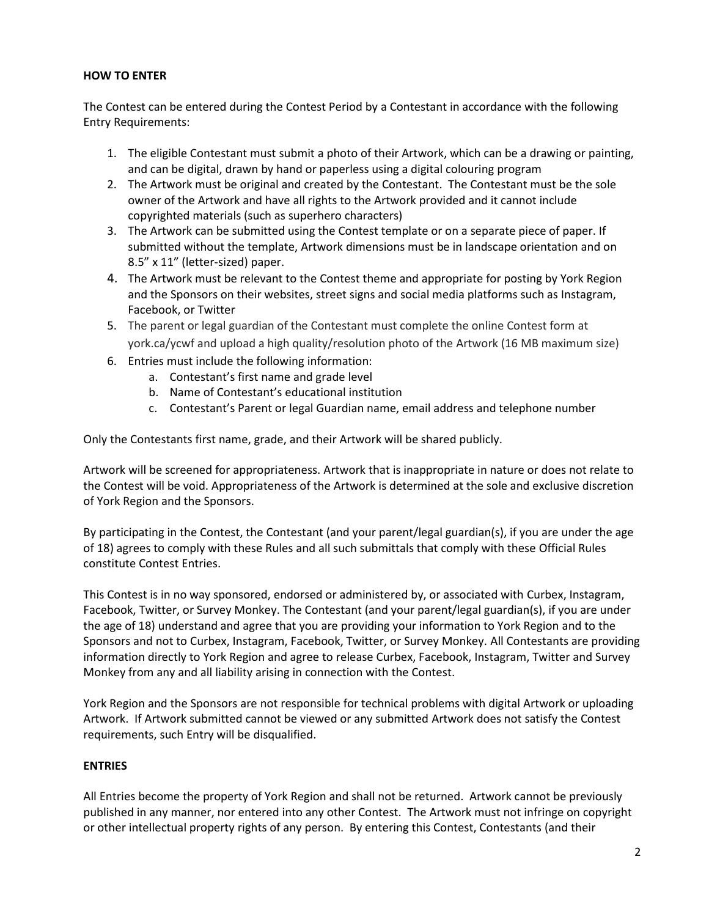## **HOW TO ENTER**

The Contest can be entered during the Contest Period by a Contestant in accordance with the following Entry Requirements:

- 1. The eligible Contestant must submit a photo of their Artwork, which can be a drawing or painting, and can be digital, drawn by hand or paperless using a digital colouring program
- 2. The Artwork must be original and created by the Contestant. The Contestant must be the sole owner of the Artwork and have all rights to the Artwork provided and it cannot include copyrighted materials (such as superhero characters)
- 3. The Artwork can be submitted using the Contest template or on a separate piece of paper. If submitted without the template, Artwork dimensions must be in landscape orientation and on 8.5" x 11" (letter-sized) paper.
- 4. The Artwork must be relevant to the Contest theme and appropriate for posting by York Region and the Sponsors on their websites, street signs and social media platforms such as Instagram, Facebook, or Twitter
- 5. The parent or legal guardian of the Contestant must complete the online Contest form at york.ca/ycwf and upload a high quality/resolution photo of the Artwork (16 MB maximum size)
- 6. Entries must include the following information:
	- a. Contestant's first name and grade level
	- b. Name of Contestant's educational institution
	- c. Contestant's Parent or legal Guardian name, email address and telephone number

Only the Contestants first name, grade, and their Artwork will be shared publicly.

Artwork will be screened for appropriateness. Artwork that is inappropriate in nature or does not relate to the Contest will be void. Appropriateness of the Artwork is determined at the sole and exclusive discretion of York Region and the Sponsors.

By participating in the Contest, the Contestant (and your parent/legal guardian(s), if you are under the age of 18) agrees to comply with these Rules and all such submittals that comply with these Official Rules constitute Contest Entries.

This Contest is in no way sponsored, endorsed or administered by, or associated with Curbex, Instagram, Facebook, Twitter, or Survey Monkey. The Contestant (and your parent/legal guardian(s), if you are under the age of 18) understand and agree that you are providing your information to York Region and to the Sponsors and not to Curbex, Instagram, Facebook, Twitter, or Survey Monkey. All Contestants are providing information directly to York Region and agree to release Curbex, Facebook, Instagram, Twitter and Survey Monkey from any and all liability arising in connection with the Contest.

York Region and the Sponsors are not responsible for technical problems with digital Artwork or uploading Artwork. If Artwork submitted cannot be viewed or any submitted Artwork does not satisfy the Contest requirements, such Entry will be disqualified.

### **ENTRIES**

All Entries become the property of York Region and shall not be returned. Artwork cannot be previously published in any manner, nor entered into any other Contest. The Artwork must not infringe on copyright or other intellectual property rights of any person. By entering this Contest, Contestants (and their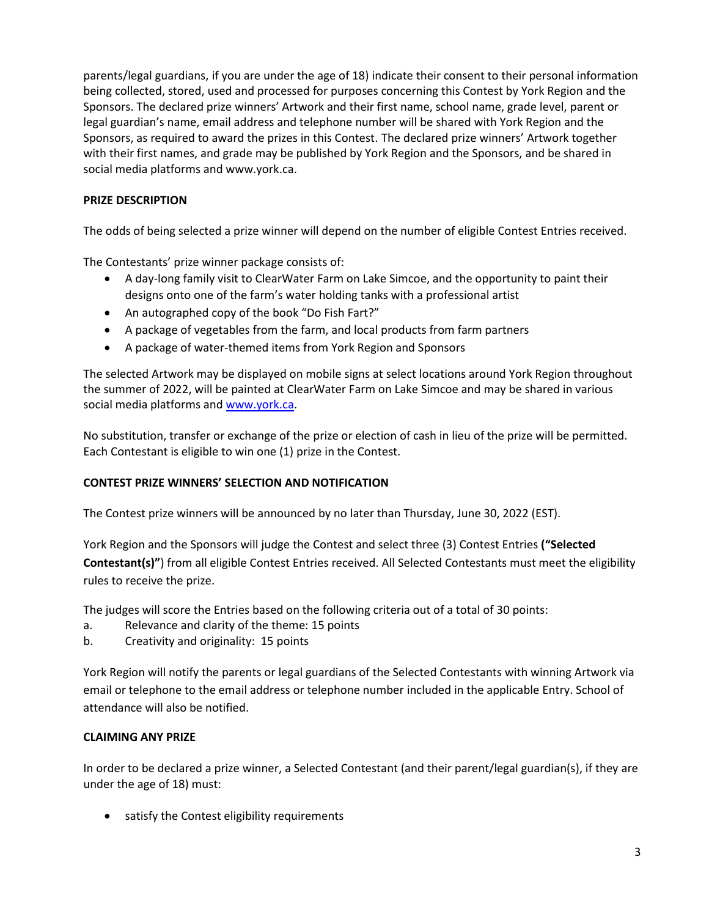parents/legal guardians, if you are under the age of 18) indicate their consent to their personal information being collected, stored, used and processed for purposes concerning this Contest by York Region and the Sponsors. The declared prize winners' Artwork and their first name, school name, grade level, parent or legal guardian's name, email address and telephone number will be shared with York Region and the Sponsors, as required to award the prizes in this Contest. The declared prize winners' Artwork together with their first names, and grade may be published by York Region and the Sponsors, and be shared in social media platforms and www.york.ca.

## **PRIZE DESCRIPTION**

The odds of being selected a prize winner will depend on the number of eligible Contest Entries received.

The Contestants' prize winner package consists of:

- A day-long family visit to ClearWater Farm on Lake Simcoe, and the opportunity to paint their designs onto one of the farm's water holding tanks with a professional artist
- An autographed copy of the book "Do Fish Fart?"
- A package of vegetables from the farm, and local products from farm partners
- A package of water-themed items from York Region and Sponsors

The selected Artwork may be displayed on mobile signs at select locations around York Region throughout the summer of 2022, will be painted at ClearWater Farm on Lake Simcoe and may be shared in various social media platforms and [www.york.ca.](http://www.york.ca/)

No substitution, transfer or exchange of the prize or election of cash in lieu of the prize will be permitted. Each Contestant is eligible to win one (1) prize in the Contest.

### **CONTEST PRIZE WINNERS' SELECTION AND NOTIFICATION**

The Contest prize winners will be announced by no later than Thursday, June 30, 2022 (EST).

York Region and the Sponsors will judge the Contest and select three (3) Contest Entries **("Selected Contestant(s)"**) from all eligible Contest Entries received. All Selected Contestants must meet the eligibility rules to receive the prize.

The judges will score the Entries based on the following criteria out of a total of 30 points:

- a. Relevance and clarity of the theme: 15 points
- b. Creativity and originality: 15 points

York Region will notify the parents or legal guardians of the Selected Contestants with winning Artwork via email or telephone to the email address or telephone number included in the applicable Entry. School of attendance will also be notified.

### **CLAIMING ANY PRIZE**

In order to be declared a prize winner, a Selected Contestant (and their parent/legal guardian(s), if they are under the age of 18) must:

• satisfy the Contest eligibility requirements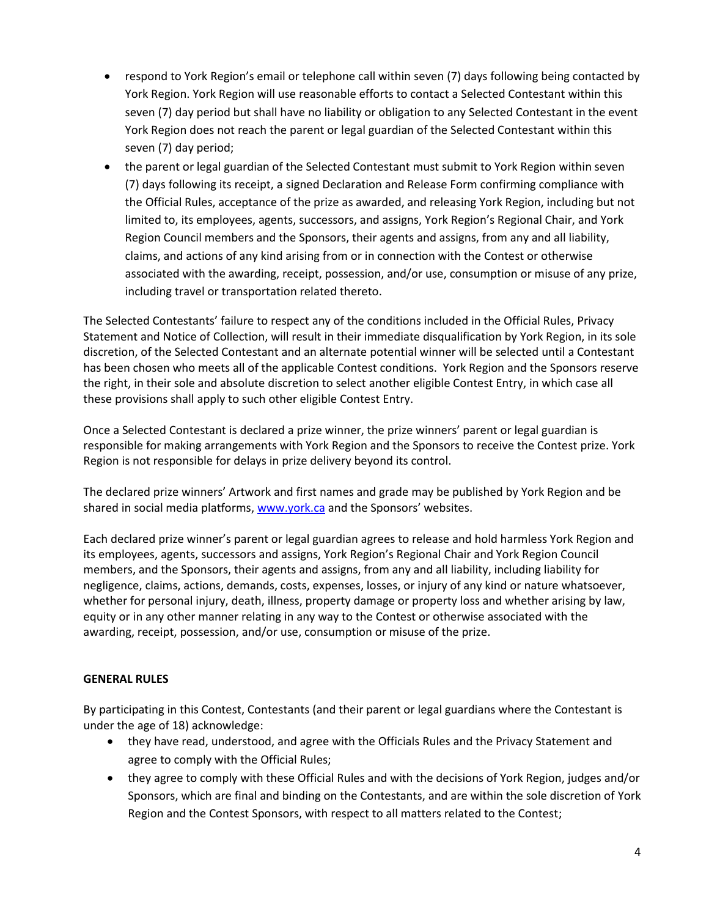- respond to York Region's email or telephone call within seven (7) days following being contacted by York Region. York Region will use reasonable efforts to contact a Selected Contestant within this seven (7) day period but shall have no liability or obligation to any Selected Contestant in the event York Region does not reach the parent or legal guardian of the Selected Contestant within this seven (7) day period;
- the parent or legal guardian of the Selected Contestant must submit to York Region within seven (7) days following its receipt, a signed Declaration and Release Form confirming compliance with the Official Rules, acceptance of the prize as awarded, and releasing York Region, including but not limited to, its employees, agents, successors, and assigns, York Region's Regional Chair, and York Region Council members and the Sponsors, their agents and assigns, from any and all liability, claims, and actions of any kind arising from or in connection with the Contest or otherwise associated with the awarding, receipt, possession, and/or use, consumption or misuse of any prize, including travel or transportation related thereto.

The Selected Contestants' failure to respect any of the conditions included in the Official Rules, Privacy Statement and Notice of Collection, will result in their immediate disqualification by York Region, in its sole discretion, of the Selected Contestant and an alternate potential winner will be selected until a Contestant has been chosen who meets all of the applicable Contest conditions. York Region and the Sponsors reserve the right, in their sole and absolute discretion to select another eligible Contest Entry, in which case all these provisions shall apply to such other eligible Contest Entry.

Once a Selected Contestant is declared a prize winner, the prize winners' parent or legal guardian is responsible for making arrangements with York Region and the Sponsors to receive the Contest prize. York Region is not responsible for delays in prize delivery beyond its control.

The declared prize winners' Artwork and first names and grade may be published by York Region and be shared in social media platforms, [www.york.ca](http://www.york.ca/) and the Sponsors' websites.

Each declared prize winner's parent or legal guardian agrees to release and hold harmless York Region and its employees, agents, successors and assigns, York Region's Regional Chair and York Region Council members, and the Sponsors, their agents and assigns, from any and all liability, including liability for negligence, claims, actions, demands, costs, expenses, losses, or injury of any kind or nature whatsoever, whether for personal injury, death, illness, property damage or property loss and whether arising by law, equity or in any other manner relating in any way to the Contest or otherwise associated with the awarding, receipt, possession, and/or use, consumption or misuse of the prize.

# **GENERAL RULES**

By participating in this Contest, Contestants (and their parent or legal guardians where the Contestant is under the age of 18) acknowledge:

- they have read, understood, and agree with the Officials Rules and the Privacy Statement and agree to comply with the Official Rules;
- they agree to comply with these Official Rules and with the decisions of York Region, judges and/or Sponsors, which are final and binding on the Contestants, and are within the sole discretion of York Region and the Contest Sponsors, with respect to all matters related to the Contest;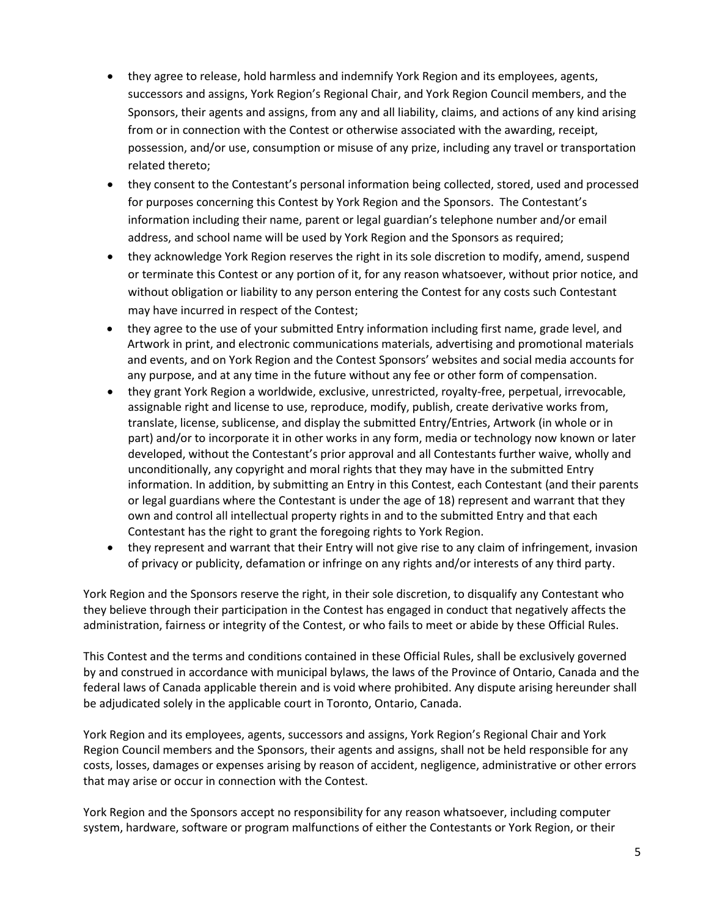- they agree to release, hold harmless and indemnify York Region and its employees, agents, successors and assigns, York Region's Regional Chair, and York Region Council members, and the Sponsors, their agents and assigns, from any and all liability, claims, and actions of any kind arising from or in connection with the Contest or otherwise associated with the awarding, receipt, possession, and/or use, consumption or misuse of any prize, including any travel or transportation related thereto;
- they consent to the Contestant's personal information being collected, stored, used and processed for purposes concerning this Contest by York Region and the Sponsors. The Contestant's information including their name, parent or legal guardian's telephone number and/or email address, and school name will be used by York Region and the Sponsors as required;
- they acknowledge York Region reserves the right in its sole discretion to modify, amend, suspend or terminate this Contest or any portion of it, for any reason whatsoever, without prior notice, and without obligation or liability to any person entering the Contest for any costs such Contestant may have incurred in respect of the Contest;
- they agree to the use of your submitted Entry information including first name, grade level, and Artwork in print, and electronic communications materials, advertising and promotional materials and events, and on York Region and the Contest Sponsors' websites and social media accounts for any purpose, and at any time in the future without any fee or other form of compensation.
- they grant York Region a worldwide, exclusive, unrestricted, royalty-free, perpetual, irrevocable, assignable right and license to use, reproduce, modify, publish, create derivative works from, translate, license, sublicense, and display the submitted Entry/Entries, Artwork (in whole or in part) and/or to incorporate it in other works in any form, media or technology now known or later developed, without the Contestant's prior approval and all Contestants further waive, wholly and unconditionally, any copyright and moral rights that they may have in the submitted Entry information. In addition, by submitting an Entry in this Contest, each Contestant (and their parents or legal guardians where the Contestant is under the age of 18) represent and warrant that they own and control all intellectual property rights in and to the submitted Entry and that each Contestant has the right to grant the foregoing rights to York Region.
- they represent and warrant that their Entry will not give rise to any claim of infringement, invasion of privacy or publicity, defamation or infringe on any rights and/or interests of any third party.

York Region and the Sponsors reserve the right, in their sole discretion, to disqualify any Contestant who they believe through their participation in the Contest has engaged in conduct that negatively affects the administration, fairness or integrity of the Contest, or who fails to meet or abide by these Official Rules.

This Contest and the terms and conditions contained in these Official Rules, shall be exclusively governed by and construed in accordance with municipal bylaws, the laws of the Province of Ontario, Canada and the federal laws of Canada applicable therein and is void where prohibited. Any dispute arising hereunder shall be adjudicated solely in the applicable court in Toronto, Ontario, Canada.

York Region and its employees, agents, successors and assigns, York Region's Regional Chair and York Region Council members and the Sponsors, their agents and assigns, shall not be held responsible for any costs, losses, damages or expenses arising by reason of accident, negligence, administrative or other errors that may arise or occur in connection with the Contest.

York Region and the Sponsors accept no responsibility for any reason whatsoever, including computer system, hardware, software or program malfunctions of either the Contestants or York Region, or their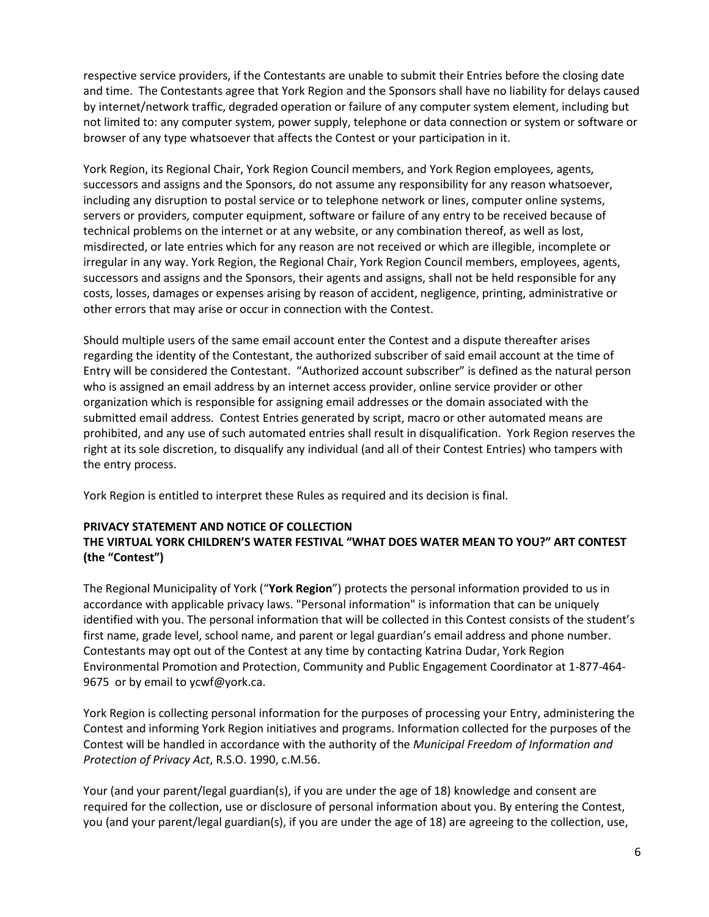respective service providers, if the Contestants are unable to submit their Entries before the closing date and time. The Contestants agree that York Region and the Sponsors shall have no liability for delays caused by internet/network traffic, degraded operation or failure of any computer system element, including but not limited to: any computer system, power supply, telephone or data connection or system or software or browser of any type whatsoever that affects the Contest or your participation in it.

York Region, its Regional Chair, York Region Council members, and York Region employees, agents, successors and assigns and the Sponsors, do not assume any responsibility for any reason whatsoever, including any disruption to postal service or to telephone network or lines, computer online systems, servers or providers, computer equipment, software or failure of any entry to be received because of technical problems on the internet or at any website, or any combination thereof, as well as lost, misdirected, or late entries which for any reason are not received or which are illegible, incomplete or irregular in any way. York Region, the Regional Chair, York Region Council members, employees, agents, successors and assigns and the Sponsors, their agents and assigns, shall not be held responsible for any costs, losses, damages or expenses arising by reason of accident, negligence, printing, administrative or other errors that may arise or occur in connection with the Contest.

Should multiple users of the same email account enter the Contest and a dispute thereafter arises regarding the identity of the Contestant, the authorized subscriber of said email account at the time of Entry will be considered the Contestant. "Authorized account subscriber" is defined as the natural person who is assigned an email address by an internet access provider, online service provider or other organization which is responsible for assigning email addresses or the domain associated with the submitted email address. Contest Entries generated by script, macro or other automated means are prohibited, and any use of such automated entries shall result in disqualification. York Region reserves the right at its sole discretion, to disqualify any individual (and all of their Contest Entries) who tampers with the entry process.

York Region is entitled to interpret these Rules as required and its decision is final.

### **PRIVACY STATEMENT AND NOTICE OF COLLECTION**

# **THE VIRTUAL YORK CHILDREN'S WATER FESTIVAL "WHAT DOES WATER MEAN TO YOU?" ART CONTEST (the "Contest")**

The Regional Municipality of York ("**York Region**") protects the personal information provided to us in accordance with applicable privacy laws. "Personal information" is information that can be uniquely identified with you. The personal information that will be collected in this Contest consists of the student's first name, grade level, school name, and parent or legal guardian's email address and phone number. Contestants may opt out of the Contest at any time by contacting Katrina Dudar, York Region Environmental Promotion and Protection, Community and Public Engagement Coordinator at 1-877-464- 9675 or by email to ycwf@york.ca.

York Region is collecting personal information for the purposes of processing your Entry, administering the Contest and informing York Region initiatives and programs. Information collected for the purposes of the Contest will be handled in accordance with the authority of the *Municipal Freedom of Information and Protection of Privacy Act*, R.S.O. 1990, c.M.56.

Your (and your parent/legal guardian(s), if you are under the age of 18) knowledge and consent are required for the collection, use or disclosure of personal information about you. By entering the Contest, you (and your parent/legal guardian(s), if you are under the age of 18) are agreeing to the collection, use,